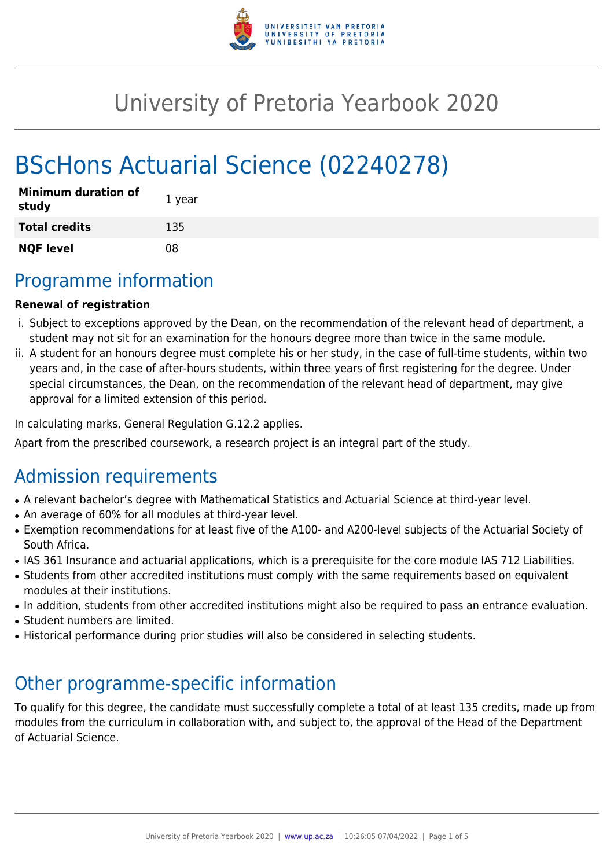

# University of Pretoria Yearbook 2020

# BScHons Actuarial Science (02240278)

| <b>Minimum duration of</b><br>study | 1 year |
|-------------------------------------|--------|
| <b>Total credits</b>                | 135    |
| <b>NQF level</b>                    | 08     |

# Programme information

## **Renewal of registration**

- i. Subject to exceptions approved by the Dean, on the recommendation of the relevant head of department, a student may not sit for an examination for the honours degree more than twice in the same module.
- ii. A student for an honours degree must complete his or her study, in the case of full-time students, within two years and, in the case of after-hours students, within three years of first registering for the degree. Under special circumstances, the Dean, on the recommendation of the relevant head of department, may give approval for a limited extension of this period.

In calculating marks, General Regulation G.12.2 applies.

Apart from the prescribed coursework, a research project is an integral part of the study.

# Admission requirements

- A relevant bachelor's degree with Mathematical Statistics and Actuarial Science at third-year level.
- An average of 60% for all modules at third-year level.
- Exemption recommendations for at least five of the A100- and A200-level subjects of the Actuarial Society of South Africa.
- IAS 361 Insurance and actuarial applications, which is a prerequisite for the core module IAS 712 Liabilities.
- Students from other accredited institutions must comply with the same requirements based on equivalent modules at their institutions.
- In addition, students from other accredited institutions might also be required to pass an entrance evaluation.
- Student numbers are limited.
- Historical performance during prior studies will also be considered in selecting students.

# Other programme-specific information

To qualify for this degree, the candidate must successfully complete a total of at least 135 credits, made up from modules from the curriculum in collaboration with, and subject to, the approval of the Head of the Department of Actuarial Science.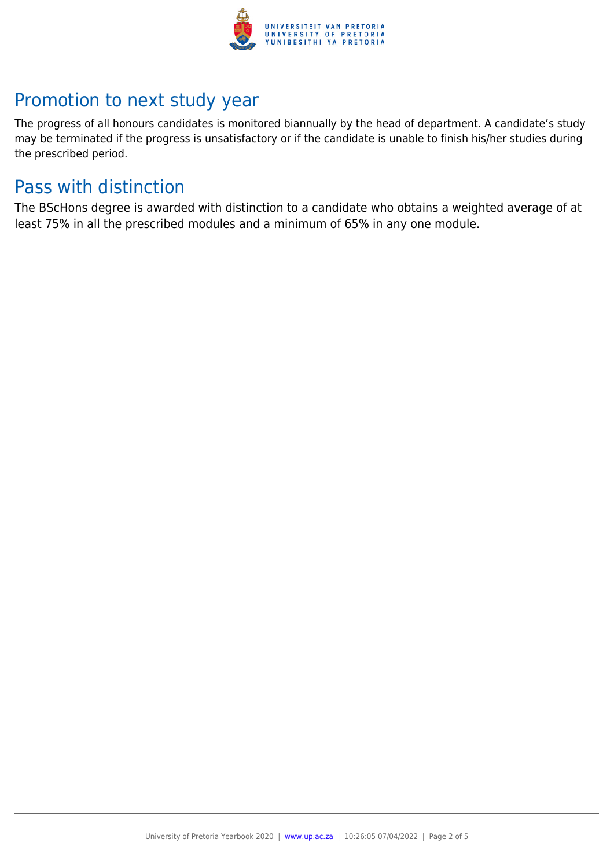

# Promotion to next study year

The progress of all honours candidates is monitored biannually by the head of department. A candidate's study may be terminated if the progress is unsatisfactory or if the candidate is unable to finish his/her studies during the prescribed period.

# Pass with distinction

The BScHons degree is awarded with distinction to a candidate who obtains a weighted average of at least 75% in all the prescribed modules and a minimum of 65% in any one module.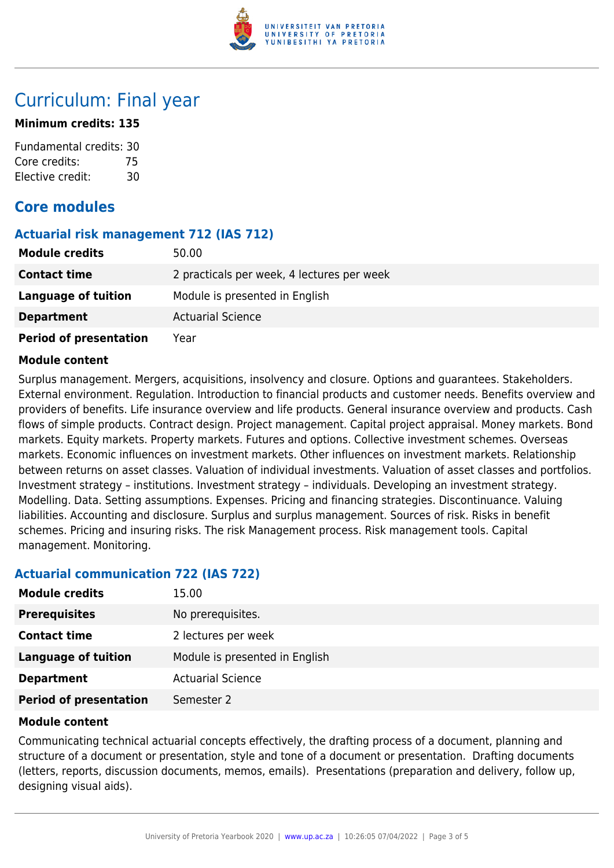

# Curriculum: Final year

### **Minimum credits: 135**

Fundamental credits: 30 Core credits: 75 Elective credit: 30

## **Core modules**

## **Actuarial risk management 712 (IAS 712)**

| <b>Module credits</b>         | 50.00                                      |
|-------------------------------|--------------------------------------------|
| <b>Contact time</b>           | 2 practicals per week, 4 lectures per week |
| Language of tuition           | Module is presented in English             |
| <b>Department</b>             | <b>Actuarial Science</b>                   |
| <b>Period of presentation</b> | Year                                       |

#### **Module content**

Surplus management. Mergers, acquisitions, insolvency and closure. Options and guarantees. Stakeholders. External environment. Regulation. Introduction to financial products and customer needs. Benefits overview and providers of benefits. Life insurance overview and life products. General insurance overview and products. Cash flows of simple products. Contract design. Project management. Capital project appraisal. Money markets. Bond markets. Equity markets. Property markets. Futures and options. Collective investment schemes. Overseas markets. Economic influences on investment markets. Other influences on investment markets. Relationship between returns on asset classes. Valuation of individual investments. Valuation of asset classes and portfolios. Investment strategy – institutions. Investment strategy – individuals. Developing an investment strategy. Modelling. Data. Setting assumptions. Expenses. Pricing and financing strategies. Discontinuance. Valuing liabilities. Accounting and disclosure. Surplus and surplus management. Sources of risk. Risks in benefit schemes. Pricing and insuring risks. The risk Management process. Risk management tools. Capital management. Monitoring.

## **Actuarial communication 722 (IAS 722)**

| <b>Module credits</b>         | 15.00                          |
|-------------------------------|--------------------------------|
| <b>Prerequisites</b>          | No prerequisites.              |
| <b>Contact time</b>           | 2 lectures per week            |
| Language of tuition           | Module is presented in English |
| <b>Department</b>             | <b>Actuarial Science</b>       |
| <b>Period of presentation</b> | Semester 2                     |

#### **Module content**

Communicating technical actuarial concepts effectively, the drafting process of a document, planning and structure of a document or presentation, style and tone of a document or presentation. Drafting documents (letters, reports, discussion documents, memos, emails). Presentations (preparation and delivery, follow up, designing visual aids).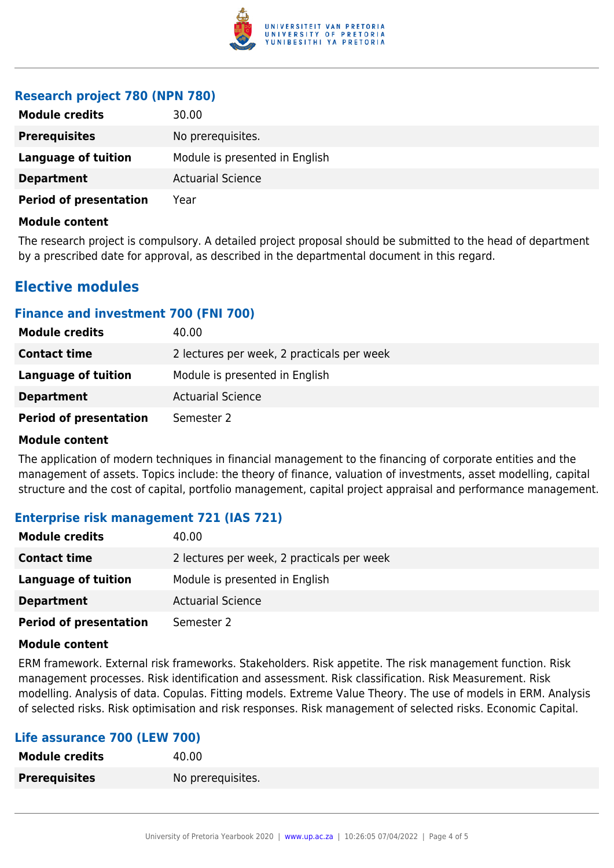

## **Research project 780 (NPN 780)**

| <b>Module credits</b>         | 30.00                          |
|-------------------------------|--------------------------------|
| <b>Prerequisites</b>          | No prerequisites.              |
| Language of tuition           | Module is presented in English |
| <b>Department</b>             | <b>Actuarial Science</b>       |
| <b>Period of presentation</b> | Year                           |

#### **Module content**

The research project is compulsory. A detailed project proposal should be submitted to the head of department by a prescribed date for approval, as described in the departmental document in this regard.

# **Elective modules**

### **Finance and investment 700 (FNI 700)**

| <b>Module credits</b>         | 40.00                                      |
|-------------------------------|--------------------------------------------|
| <b>Contact time</b>           | 2 lectures per week, 2 practicals per week |
| Language of tuition           | Module is presented in English             |
| <b>Department</b>             | <b>Actuarial Science</b>                   |
| <b>Period of presentation</b> | Semester 2                                 |

#### **Module content**

The application of modern techniques in financial management to the financing of corporate entities and the management of assets. Topics include: the theory of finance, valuation of investments, asset modelling, capital structure and the cost of capital, portfolio management, capital project appraisal and performance management.

## **Enterprise risk management 721 (IAS 721)**

| <b>Module credits</b>         | 40.00                                      |  |
|-------------------------------|--------------------------------------------|--|
| <b>Contact time</b>           | 2 lectures per week, 2 practicals per week |  |
| Language of tuition           | Module is presented in English             |  |
| <b>Department</b>             | <b>Actuarial Science</b>                   |  |
| <b>Period of presentation</b> | Semester 2                                 |  |

#### **Module content**

ERM framework. External risk frameworks. Stakeholders. Risk appetite. The risk management function. Risk management processes. Risk identification and assessment. Risk classification. Risk Measurement. Risk modelling. Analysis of data. Copulas. Fitting models. Extreme Value Theory. The use of models in ERM. Analysis of selected risks. Risk optimisation and risk responses. Risk management of selected risks. Economic Capital.

### **Life assurance 700 (LEW 700)**

| <b>Module credits</b> | 40.00             |
|-----------------------|-------------------|
| <b>Prerequisites</b>  | No prerequisites. |